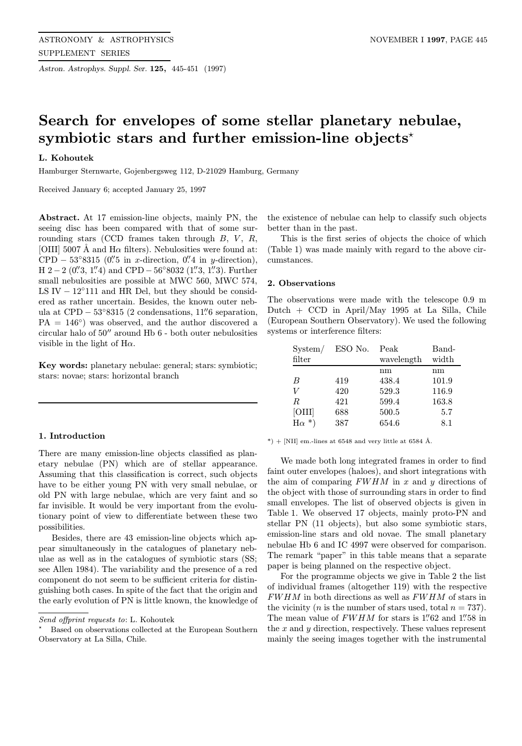Astron. Astrophys. Suppl. Ser. 125, 445-451 (1997)

# Search for envelopes of some stellar planetary nebulae, symbiotic stars and further emission-line objects<sup>\*</sup>

## L. Kohoutek

Hamburger Sternwarte, Gojenbergsweg 112, D-21029 Hamburg, Germany

Received January 6; accepted January 25, 1997

Abstract. At 17 emission-line objects, mainly PN, the seeing disc has been compared with that of some surrounding stars (CCD frames taken through  $B, V, R$ , [OIII] 5007 Å and  $H\alpha$  filters). Nebulosities were found at: CPD – 53°8315 (0.''5 in x-direction, 0.''4 in y-direction), H 2 – 2 (0"
3, 1"
4) and CPD –  $56°8032$  (1"
3, 1"
3). Further small nebulosities are possible at MWC 560, MWC 574, LS IV  $-12°111$  and HR Del, but they should be considered as rather uncertain. Besides, the known outer nebula at  $\text{CPD} - 53°8315$  (2 condensations, 11" 6 separation,  $PA = 146°$  was observed, and the author discovered a circular halo of  $50^{\prime\prime}$  around Hb  $6$  - both outer nebulosities visible in the light of  $H\alpha$ .

Key words: planetary nebulae: general; stars: symbiotic; stars: novae; stars: horizontal branch

## 1. Introduction

There are many emission-line objects classified as planetary nebulae (PN) which are of stellar appearance. Assuming that this classification is correct, such objects have to be either young PN with very small nebulae, or old PN with large nebulae, which are very faint and so far invisible. It would be very important from the evolutionary point of view to differentiate between these two possibilities.

Besides, there are 43 emission-line objects which appear simultaneously in the catalogues of planetary nebulae as well as in the catalogues of symbiotic stars (SS; see Allen 1984). The variability and the presence of a red component do not seem to be sufficient criteria for distinguishing both cases. In spite of the fact that the origin and the early evolution of PN is little known, the knowledge of

the existence of nebulae can help to classify such objects better than in the past.

This is the first series of objects the choice of which (Table 1) was made mainly with regard to the above circumstances.

## 2. Observations

| Dutch $+$ CCD in April/May 1995 at La Silla, Chile     |
|--------------------------------------------------------|
| (European Southern Observatory). We used the following |
| systems or interference filters:                       |
|                                                        |

The observations were made with the telescope 0.9 m

| System/             | ESO No. | Peak       | Band-       |
|---------------------|---------|------------|-------------|
| filter              |         | wavelength | width       |
|                     |         | nm         | $\text{nm}$ |
| B                   | 419     | 438.4      | 101.9       |
| V                   | 420     | 529.3      | 116.9       |
| R                   | 421     | 599.4      | 163.8       |
| [OIII]              | 688     | 500.5      | 5.7         |
| $\ast$<br>$H\alpha$ | 387     | 654.6      | 8.1         |

 $*)$  + [NII] em.-lines at 6548 and very little at 6584 Å.

We made both long integrated frames in order to find faint outer envelopes (haloes), and short integrations with the aim of comparing  $FWHM$  in x and y directions of the object with those of surrounding stars in order to find small envelopes. The list of observed objects is given in Table 1. We observed 17 objects, mainly proto-PN and stellar PN (11 objects), but also some symbiotic stars, emission-line stars and old novae. The small planetary nebulae Hb 6 and IC 4997 were observed for comparison. The remark "paper" in this table means that a separate paper is being planned on the respective object.

For the programme objects we give in Table 2 the list of individual frames (altogether 119) with the respective FWHM in both directions as well as FWHM of stars in the vicinity (*n* is the number of stars used, total  $n = 737$ ). The mean value of  $FWHM$  for stars is 1."62 and 1."58 in the  $x$  and  $y$  direction, respectively. These values represent mainly the seeing images together with the instrumental

Send offprint requests to: L. Kohoutek

<sup>?</sup> Based on observations collected at the European Southern Observatory at La Silla, Chile.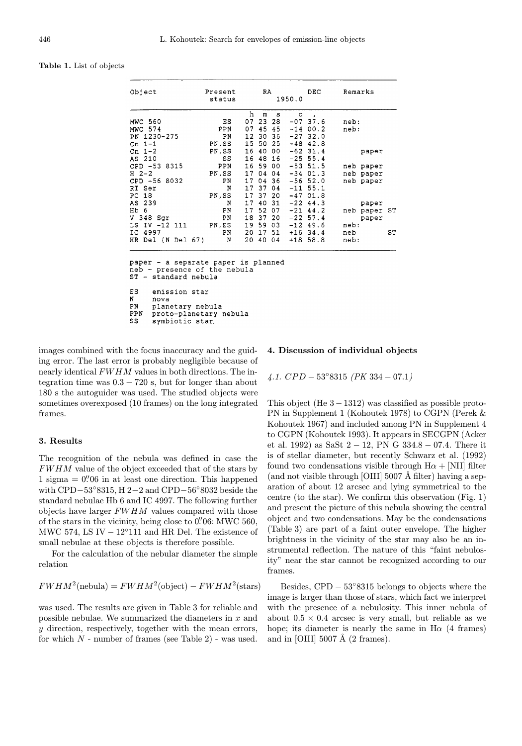| <b>Table 1.</b> List of objects |  |  |  |  |  |
|---------------------------------|--|--|--|--|--|
|---------------------------------|--|--|--|--|--|

| Object                              | Present<br>status |                 | RA       |       | 1950.0  | DEC.        | Remarks      |       |                |
|-------------------------------------|-------------------|-----------------|----------|-------|---------|-------------|--------------|-------|----------------|
|                                     |                   | h               | m        | s     | $\circ$ | $\sim$      |              |       |                |
| <b>MWC 560</b>                      | ΕS                | 07              |          | 23 28 |         | $-07$ 37.6  | $neb$ :      |       |                |
| MWC 574                             | PPN               | 07              | 45       | -45   |         | $-1400.2$   | neb:         |       |                |
| PN 1230-275                         | ΡN                | 12 <sub>2</sub> | 30       | -36   |         | $-2732.0$   |              |       |                |
| Cn $1-1$                            | PN, SS            |                 | 15 50    | -25   |         | $-48$ 42.8  |              |       |                |
| Cn $1-2$                            | PN, SS            | 16              | 40       | 00    |         | $-62$ 31.4  |              | paper |                |
| AS 210                              | SS                |                 | 16 48    | 16    |         | $-25$ 55.4  |              |       |                |
| CPD -53 8315                        | PPN               | 16              | 59       | 00    |         | $-53$ 51.5  | neb paper    |       |                |
| $H2-2$                              | PN, SS            |                 | 17 04    | 04    |         | $-34$ 01.3  | neb paper    |       |                |
| CPD -56 8032                        | ΡN                | 17              | 04 36    |       |         | $-56$ 52.0  | neb paper    |       |                |
| RT Ser                              | N                 | 17 <sup>1</sup> | 37       | 04    |         | $-11$ 55.1  |              |       |                |
| PC 18                               | PN,SS             | 17              | 37       | 20    |         | $-4701.8$   |              |       |                |
| AS 239                              | N                 | 17              | 40       | 31    |         | $-22$ 44.3  |              | paper |                |
| Hb 6                                | PN                | 17              | 52       | 07    |         | $-21$ 44.2  | neb paper S1 |       |                |
| V 348 Sgr                           | PN                | 18              | 37       | -20   |         | $-22, 57.4$ |              | paper |                |
| LS IV -12 111                       | PN, ES            |                 | 19 59 03 |       |         | $-12$ 49.6  | $neb$ :      |       |                |
| IC 4997                             | ΡN                | 20              | 17 51    |       |         | $+16$ 34.4  | neb          |       | S <sub>1</sub> |
| HR Del (N Del 67) N                 |                   | 20              |          | 40 04 |         | $+18$ 58.8  | $neb$ :      |       |                |
|                                     |                   |                 |          |       |         |             |              |       |                |
| paper - a separate paper is planned |                   |                 |          |       |         |             |              |       |                |
| neb - presence of the nebula        |                   |                 |          |       |         |             |              |       |                |
| ST - standard nebula                |                   |                 |          |       |         |             |              |       |                |

ES emission star  $\,$  N nova PN planetary nebula PPN proto-planetary nebula SS symbiotic star.

images combined with the focus inaccuracy and the guiding error. The last error is probably negligible because of nearly identical FWHM values in both directions. The integration time was  $0.3 - 720$  s, but for longer than about 180 s the autoguider was used. The studied objects were sometimes overexposed (10 frames) on the long integrated frames.

### 3. Results

The recognition of the nebula was defined in case the FWHM value of the object exceeded that of the stars by  $1$  sigma =  $0''06$  in at least one direction. This happened with CPD−53◦8315, H 2−2 and CPD−56◦8032 beside the standard nebulae Hb 6 and IC 4997. The following further objects have larger  $FWHM$  values compared with those of the stars in the vicinity, being close to  $0''$ . Of: MWC 560, MWC 574, LS IV  $-12°111$  and HR Del. The existence of small nebulae at these objects is therefore possible.

For the calculation of the nebular diameter the simple relation

$$
FWHM^{2}(\text{nebula}) = FWHM^{2}(\text{object}) - FWHM^{2}(\text{stars})
$$

was used. The results are given in Table 3 for reliable and possible nebulae. We summarized the diameters in  $x$  and y direction, respectively, together with the mean errors, for which  $N$  - number of frames (see Table 2) - was used.

## 4. Discussion of individual objects

4.1.  $CPD - 53°8315$   $(PK 334 - 07.1)$ 

This object (He  $3 - 1312$ ) was classified as possible proto-PN in Supplement 1 (Kohoutek 1978) to CGPN (Perek & Kohoutek 1967) and included among PN in Supplement 4 to CGPN (Kohoutek 1993). It appears in SECGPN (Acker et al. 1992) as SaSt  $2 - 12$ , PN G 334.8 – 07.4. There it is of stellar diameter, but recently Schwarz et al. (1992) found two condensations visible through  $H\alpha + [NII]$  filter (and not visible through [OIII]  $5007$  Å filter) having a separation of about 12 arcsec and lying symmetrical to the centre (to the star). We confirm this observation (Fig. 1) and present the picture of this nebula showing the central object and two condensations. May be the condensations (Table 3) are part of a faint outer envelope. The higher brightness in the vicinity of the star may also be an instrumental reflection. The nature of this "faint nebulosity" near the star cannot be recognized according to our frames.

Besides,  $\text{CPD} - 53°8315$  belongs to objects where the image is larger than those of stars, which fact we interpret with the presence of a nebulosity. This inner nebula of about  $0.5 \times 0.4$  arcsec is very small, but reliable as we hope; its diameter is nearly the same in  $H\alpha$  (4 frames) and in [OIII]  $5007 \text{ Å}$  (2 frames).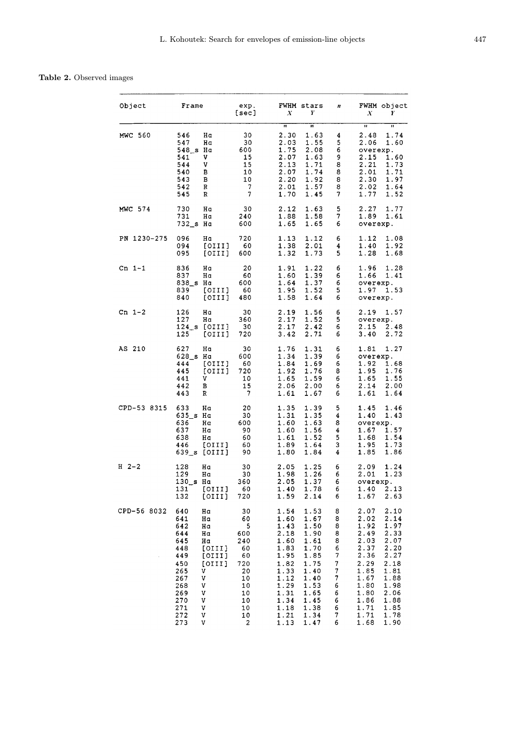# Table 2. Observed images

| Object         | Frame                                                                                                                                                                                                            | exp.<br>[sec]                                                                                 | FWHM stars<br>Y<br>X                                                                                                                                                                                                                                         | n                                                                            | FWHM object<br>X<br>Y                                                                                                                                                                                                                                        |
|----------------|------------------------------------------------------------------------------------------------------------------------------------------------------------------------------------------------------------------|-----------------------------------------------------------------------------------------------|--------------------------------------------------------------------------------------------------------------------------------------------------------------------------------------------------------------------------------------------------------------|------------------------------------------------------------------------------|--------------------------------------------------------------------------------------------------------------------------------------------------------------------------------------------------------------------------------------------------------------|
| <b>MWC 560</b> | Hα<br>546<br>547<br>Hα<br>Hα<br>548_s<br>541<br>٧<br>V<br>544<br>540<br>в<br>в<br>543<br>542<br>R<br>R<br>545                                                                                                    | 30<br>30<br>600<br>15<br>15<br>10<br>10<br>7<br>7                                             | $\overline{\mathbf{u}}$<br>$\overline{\mathbf{u}}$<br>2.30<br>1.63<br>2.03<br>1.55<br>1.75<br>2.08<br>2.07<br>1.63<br>2.13<br>1.71<br>2.07<br>1.74<br>2.20<br>1.92<br>2.01<br>1.57<br>1.70<br>1.45                                                           | 4<br>5<br>6<br>9<br>8<br>8<br>8<br>8<br>7                                    | w<br>$\overline{\mathbf{u}}$<br>1.74<br>2.48<br>2.06<br>1.60<br>overexp.<br>2.15<br>1.60<br>2.21<br>1.73<br>2.01<br>1.71<br>2.30<br>1.97<br>2.02<br>1.64<br>1.77<br>1.52                                                                                     |
| MWC 574        | 730<br>Ηa<br>731<br>Нα<br>732_s Ha                                                                                                                                                                               | 30<br>240<br>600                                                                              | 2.12<br>1.63<br>1.58<br>1.88<br>1.65<br>1.65                                                                                                                                                                                                                 | 5<br>7<br>6                                                                  | 2.27<br>1.77<br>1.89<br>1.61<br>overexp.                                                                                                                                                                                                                     |
| PN 1230-275    | 096<br>Ηa<br>094<br>[OIII]<br>095<br>[OIII]                                                                                                                                                                      | 720<br>60<br>600                                                                              | 1.13<br>1.12<br>1.38<br>2.01<br>1.73<br>1.32                                                                                                                                                                                                                 | 6<br>4<br>5                                                                  | 1.12<br>1.08<br>1.40<br>1.92<br>1.28<br>1.68                                                                                                                                                                                                                 |
| Cn $1-1$       | 836<br>Hα<br>837<br>Hα<br>838 s Ha<br>839<br>[OIII]<br>840<br>[OIII]                                                                                                                                             | 20<br>60<br>600<br>60<br>480                                                                  | 1.91<br>1.22<br>1.39<br>1.60<br>1.37<br>1.64<br>1.95<br>1.52<br>1.58<br>1.64                                                                                                                                                                                 | 6<br>6<br>6<br>5<br>6                                                        | 1.96<br>1.28<br>1.66<br>1.41<br>overexp.<br>1.97<br>1.53<br>overexp.                                                                                                                                                                                         |
| Cn $1-2$       | 126<br>Ηa<br>127<br>Hα<br>124 s<br>[OIII]<br>125<br>[0111]                                                                                                                                                       | 30<br>360<br>30<br>720                                                                        | 2.19<br>1.56<br>2.17<br>1.52<br>2.17<br>2.42<br>2.71<br>3.42                                                                                                                                                                                                 | 6<br>5<br>6<br>6                                                             | 2.19<br>1.57<br>overexp.<br>2.15<br>2.48<br>3.40<br>2.72                                                                                                                                                                                                     |
| AS 210         | 627<br>Hα<br>628_s Ha<br>444<br>[OIII]<br>445<br>[OIII]<br>441<br>V<br>442<br>в<br>443<br>R                                                                                                                      | 30<br>600<br>60<br>720<br>10<br>15<br>7                                                       | 1.76<br>1.31<br>1.39<br>1.34<br>1.84<br>1.69<br>1.92<br>1.76<br>1.59<br>1.65<br>2.06<br>2.00<br>1.61<br>1.67                                                                                                                                                 | 6<br>6<br>6<br>8<br>6<br>6<br>6                                              | 1.27<br>1.81<br>overexp.<br>1.92<br>1.68<br>1.95<br>1.76<br>1.65<br>1.55<br>2.14<br>2.00<br>1.61<br>1.64                                                                                                                                                     |
| CPD-53 8315    | 633<br>Hα<br>$635$ <sub>s</sub><br>Hα<br>636<br>Hα<br>637<br>Hα<br>638<br>Ηa<br>446<br>[OIII]<br>639_s<br>[OIII]                                                                                                 | 20<br>30<br>600<br>90<br>60<br>60<br>90                                                       | 1.35<br>1.39<br>1.35<br>1.31<br>1.60<br>1.63<br>1.56<br>1.60<br>1.61<br>1.52<br>1.89<br>1.64<br>1.80<br>1.84                                                                                                                                                 | 5<br>4<br>8<br>4<br>5<br>3<br>4                                              | 1.45<br>1.46<br>1.40<br>1.43<br>overexp.<br>1.57<br>1.67<br>1.68<br>1.54<br>1.95<br>1.73<br>1.85<br>1.86                                                                                                                                                     |
| $H2-2$         | 128<br>Hα<br>129<br>Ηa<br>130_s Ha<br>131<br>[OIII]<br>132<br>[OIII]                                                                                                                                             | 30<br>30<br>360<br>60<br>720                                                                  | 2.05<br>1.25<br>1.98<br>1.26<br>2.05<br>1.37<br>1.78<br>1.40<br>1.59<br>2.14                                                                                                                                                                                 | 6<br>6<br>6<br>6<br>6                                                        | 2.09<br>1.24<br>2.01<br>1.23<br>overexp.<br>1.40<br>2.13<br>1.67<br>2.63                                                                                                                                                                                     |
| CPD-56 8032    | 640<br>Hα<br>641<br>Hα<br>642<br>Ha<br>644<br>Нα<br>645<br>Hα<br>448<br>[OIII]<br>449<br>[OIII]<br>450<br>[OIII]<br>265<br>v<br>٧<br>267<br>268<br>۷<br>269<br>۷<br>270<br>V<br>271<br>V<br>272<br>V<br>273<br>V | 30<br>60<br>5<br>600<br>240<br>60<br>60<br>720<br>20<br>10<br>10<br>10<br>10<br>10<br>10<br>2 | 1.53<br>1.54<br>1.60<br>1.67<br>1.50<br>1.43<br>2.18<br>1.90<br>1.61<br>1.60<br>1.83<br>1.70<br>1.95<br>1.85<br>1.75<br>1.82<br>1.40<br>1.33<br>1.40<br>1.12<br>1.29<br>1.53<br>1.31<br>1.65<br>1.34<br>1.45<br>1.18<br>1.38<br>1.21<br>1.34<br>1.47<br>1.13 | 8<br>8<br>8<br>8<br>8<br>6<br>7<br>7<br>7<br>7<br>6<br>6<br>6<br>6<br>7<br>6 | 2.07<br>2.10<br>2.02<br>2.14<br>1.92<br>1.97<br>2.49<br>2.33<br>2.03<br>2.07<br>2.37<br>2.20<br>2.36<br>2.27<br>2.29<br>2.18<br>1.85<br>1.81<br>1.67<br>1.88<br>1.80<br>1.98<br>1.80<br>2.06<br>1.86<br>1.88<br>1.71<br>1.85<br>1.71<br>1.78<br>1.68<br>1.90 |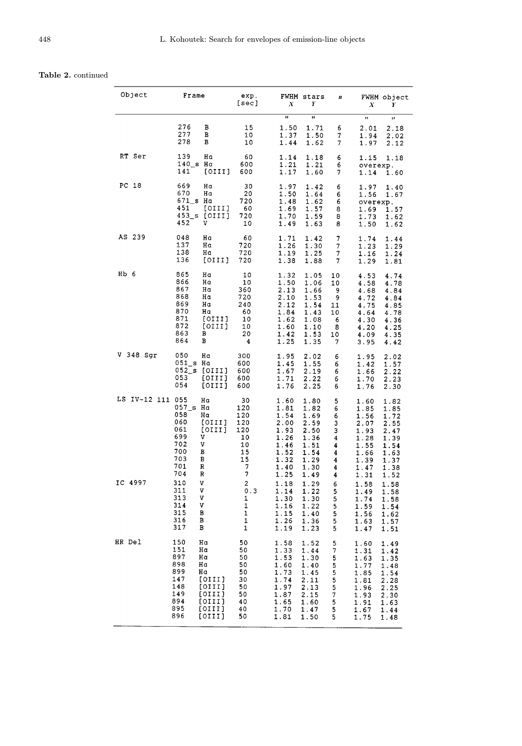# Table 2. continued

| Object                      | Frame                                                                                                                                                               | exp.<br>[sec]                                                         | FWHM stars<br>X<br>Y                                                                                                                                                                         | n                                                        | FWHM object<br>X<br>Y                                                                                                                                                                        |
|-----------------------------|---------------------------------------------------------------------------------------------------------------------------------------------------------------------|-----------------------------------------------------------------------|----------------------------------------------------------------------------------------------------------------------------------------------------------------------------------------------|----------------------------------------------------------|----------------------------------------------------------------------------------------------------------------------------------------------------------------------------------------------|
|                             | 276<br>в<br>277<br>в<br>278<br>в                                                                                                                                    | 15<br>10<br>10                                                        | $\overline{u}$<br>n<br>1.50<br>1.71<br>1.37<br>1.50<br>1.44<br>1.62                                                                                                                          | 6<br>7<br>7                                              | Ħ<br>Ħ<br>2.01<br>2.18<br>1.94<br>2.02<br>1.97<br>2.12                                                                                                                                       |
| RT Ser                      | 139<br>Hα<br>140 s Ha<br>141<br>[OIII]                                                                                                                              | 60<br>600<br>600                                                      | 1.14<br>1.18<br>1.21<br>1.21<br>1.17<br>1.60                                                                                                                                                 | 6<br>6<br>7                                              | 1.15<br>1.18<br>overexp.<br>1.14<br>1.60                                                                                                                                                     |
| PC 18                       | 669<br>Hα<br>670<br>Hα<br>671 s Ha<br>451<br>[OIII]<br>453_s [OIII]<br>452<br>v                                                                                     | 30<br>20<br>720<br>60<br>720<br>10                                    | 1.97<br>1.42<br>1.50<br>1.64<br>1.48<br>1.62<br>1.69<br>1.57<br>1.70<br>1.59<br>1.49<br>1.63                                                                                                 | 6<br>6<br>6<br>8<br>8<br>8                               | 1.97<br>1.40<br>1.56<br>1.67<br>overexp.<br>1.69<br>1.57<br>1.73<br>1.62<br>1.50<br>1.62                                                                                                     |
| AS 239                      | 048<br>Hα<br>137<br>Нα<br>138<br>Hα<br>136<br>[OIII]                                                                                                                | 60<br>720<br>720<br>720                                               | 1.71<br>1.42<br>1.26<br>1.30<br>1.19<br>1.25<br>1.38<br>1.88                                                                                                                                 | 7<br>7<br>7<br>7                                         | 1.74<br>1.44<br>1.23<br>1.29<br>1.16<br>1.24<br>1.29<br>1.81                                                                                                                                 |
| $Hb$ 6                      | 865<br>Ηa<br>866<br>Hα<br>867<br>Hα<br>868<br>Hα<br>869<br>Hα<br>870<br>Hα<br>871<br>[OIII]<br>872<br>[OIII]<br>863<br>в<br>864<br>в                                | 10<br>10<br>360<br>720<br>240<br>60<br>10<br>10<br>20<br>4            | 1.32<br>1.05<br>1.50<br>1.06<br>2.13<br>1.66<br>2.10<br>1.53<br>2.12<br>1.54<br>1.84<br>1.43<br>1.62<br>1.08<br>1.60<br>1.10<br>1.42<br>1.53<br>1.25<br>1.35                                 | 10<br>10<br>9<br>9<br>11<br>10<br>6<br>8<br>10<br>7      | 4.53<br>4.74<br>4.78<br>4.58<br>4.68<br>4.84<br>4.72<br>4.84<br>4.75<br>4.85<br>4.64<br>4.78<br>4.30<br>4.36<br>4.20<br>4.25<br>4.09<br>4.35<br>3.95<br>4.42                                 |
| V 348 Sgr                   | 050<br>Hα<br>051 s Ha<br>$052$ _s<br>[OIII]<br>053<br>[OIII]<br>054<br>[OIII]                                                                                       | 300<br>600<br>600<br>600<br>600                                       | 1.95<br>2.02<br>1.45<br>1.55<br>1.67<br>2.19<br>1.71<br>2.22<br>1.76<br>2.25                                                                                                                 | 6<br>6<br>6<br>6<br>6                                    | 1.95<br>2.02<br>1.42<br>1.57<br>2.22<br>1.66<br>1.70<br>2.23<br>1.76<br>2.30                                                                                                                 |
| LS IV-12 111 055<br>IC 4997 | Hα<br>057_s Ha<br>058<br>Hα<br>060<br>[OIII]<br>061<br>[OIII]<br>699<br>V<br>702<br>v<br>700<br>в<br>703<br>в<br>701<br>R<br>704<br>R<br>310<br>V                   | 30<br>120<br>120<br>120<br>120<br>10<br>10<br>15<br>15<br>7<br>7<br>2 | 1.60<br>1.80<br>1.81<br>1.82<br>1.54<br>1.69<br>2.00<br>2.59<br>1.93<br>2.50<br>1.26<br>1.36<br>1.46<br>1.51<br>1.52<br>1.54<br>1.32<br>1.29<br>1.40<br>1.30<br>1.25<br>1.49<br>1.18<br>1.29 | 5<br>6<br>6<br>3<br>3<br>4<br>4<br>4<br>4<br>4<br>4<br>6 | 1.60<br>1.82<br>1.85<br>1.85<br>1.56<br>1.72<br>2.07<br>2.55<br>1.93<br>2.47<br>1.28<br>1.39<br>1.55<br>1.54<br>1.66<br>1.63<br>1.39<br>1.37<br>1.47<br>1.38<br>1.31<br>1.52<br>1.58<br>1.58 |
|                             | 311<br>۷<br>313<br>٧<br>314<br>٧<br>315<br>в<br>316<br>В<br>317<br>в                                                                                                | 0.3<br>1<br>1<br>1<br>1<br>1                                          | 1.14<br>1.22<br>1.30<br>1.30<br>1.16<br>1.22<br>1.15<br>1.40<br>1.26<br>1.36<br>1.19<br>1.23                                                                                                 | 5<br>5<br>5<br>5<br>5<br>5                               | 1.49<br>1.58<br>1.74<br>1.58<br>1.59<br>1.54<br>1.56<br>1.62<br>1.63<br>1.57<br>1.47<br>1.51                                                                                                 |
| HR Del                      | 150<br>Hα<br>151<br>Hα<br>897<br>Hα<br>898<br>Hα<br>899<br>Hα<br>147<br>[OIII]<br>148<br>[OIII]<br>149<br>[OIII]<br>894<br>[OIII]<br>895<br>[OIII]<br>896<br>[OIII] | 50<br>50<br>50<br>50<br>50<br>30<br>50<br>50<br>40<br>40<br>50        | 1.58<br>1.52<br>1.33<br>1.44<br>1.53<br>1.30<br>1.60<br>1.40<br>1.73<br>1.45<br>1.74<br>2.11<br>1.97<br>2.13<br>1.87<br>2.15<br>1.65<br>1.60<br>1.70<br>1.47<br>1.81<br>1.50                 | 5<br>7<br>5<br>5<br>5<br>5<br>5<br>7<br>5<br>5<br>5      | 1.60<br>1.49<br>1.31<br>1.42<br>1.63<br>1.35<br>1.77<br>1.48<br>1.85<br>1.54<br>1.81<br>2.28<br>1.96<br>2.25<br>1.93<br>2.30<br>1.91<br>1.63<br>1.67<br>1.44<br>1.75<br>1.48                 |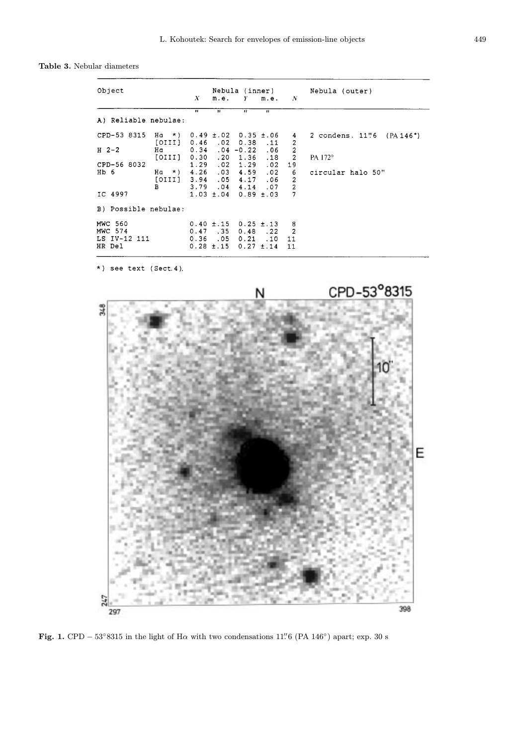Table 3. Nebular diameters

| Object                                                  |                                                                                                                                                       | X<br>m.e.                                                     | Nebula (inner)<br>Y                                            | m.e.                                   | $\overline{N}$                                                                                                                | Nebula (outer)                                            |
|---------------------------------------------------------|-------------------------------------------------------------------------------------------------------------------------------------------------------|---------------------------------------------------------------|----------------------------------------------------------------|----------------------------------------|-------------------------------------------------------------------------------------------------------------------------------|-----------------------------------------------------------|
| A) Reliable nebulae:                                    | $\mathbf{H}$                                                                                                                                          | $^{\bullet}$                                                  | $\overline{\mathbf{u}}$                                        | $\overline{H}$                         |                                                                                                                               |                                                           |
| CPD-53 8315<br>$H2-2$<br>CPD-56 8032<br>Hb 6<br>IC 4997 | Ha *) $0.49 \pm .02$ $0.35 \pm .06$<br>$[OIII]$ 0.46 .02 0.38<br>$[OIII]$ 0.30 .20 1.36<br>Ha *) $4.26$ .03 $4.59$<br>$[OIII]$ 3.94 .05 4.17 .06<br>B | 1.29.02<br>3.79 .04 4.14 .07<br>$1.03 \pm .04$ 0.89 $\pm .03$ | 1.29                                                           | $\cdot$ 11<br>.06<br>.18<br>.02<br>.02 | 4<br>$\overline{\mathbf{c}}$<br>$\overline{\mathbf{c}}$<br>$\overline{2}$<br>19<br>6<br>$\overline{2}$<br>$\overline{2}$<br>7 | 2 condens. 11"6 (PA 146")<br>PA 172°<br>circular halo 50" |
| B) Possible nebulae:                                    |                                                                                                                                                       |                                                               |                                                                |                                        |                                                                                                                               |                                                           |
| <b>MWC 560</b><br>MWC 574<br>LS IV-12 111<br>HR Del     | 0.36                                                                                                                                                  | $0.40 \pm .15$<br>$0.47$ .35<br>.05<br>$0.28 \pm .15$         | $0.25 \pm .13$<br>$0.48$ . 22<br>$0.21$ . 10<br>$0.27 \pm .14$ |                                        | 8<br>2<br>11<br>11                                                                                                            |                                                           |

\*) see text (Sect. 4).



Fig. 1. CPD –  $53°8315$  in the light of H $\alpha$  with two condensations 11'' 6 (PA 146°) apart; exp. 30 s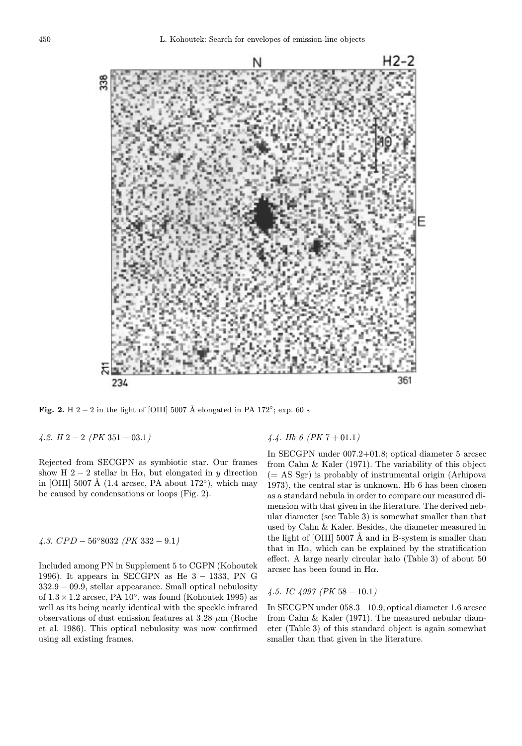

Fig. 2. H 2 − 2 in the light of [OIII] 5007 Å elongated in PA 172°; exp. 60 s

4.2.  $H$  2 – 2 ( $PK$  351 + 03.1)

Rejected from SECGPN as symbiotic star. Our frames show H 2 − 2 stellar in H $\alpha$ , but elongated in y direction in [OIII] 5007 Å (1.4 arcsec, PA about 172 $\degree$ ), which may be caused by condensations or loops (Fig. 2).

4.3. 
$$
CPD - 56^{\circ}8032
$$
 (*PK* 332 - 9.1)

Included among PN in Supplement 5 to CGPN (Kohoutek 1996). It appears in SECGPN as He  $3 - 1333$ , PN G 332.9 − 09.9, stellar appearance. Small optical nebulosity of  $1.3 \times 1.2$  arcsec, PA  $10°$ , was found (Kohoutek 1995) as well as its being nearly identical with the speckle infrared observations of dust emission features at  $3.28 \mu$ m (Roche et al. 1986). This optical nebulosity was now confirmed using all existing frames.

## 4.4. Hb 6 ( $PK 7 + 01.1$ )

In SECGPN under 007.2+01.8; optical diameter 5 arcsec from Cahn & Kaler (1971). The variability of this object  $(= AS Sgr)$  is probably of instrumental origin (Arhipova 1973), the central star is unknown. Hb 6 has been chosen as a standard nebula in order to compare our measured dimension with that given in the literature. The derived nebular diameter (see Table 3) is somewhat smaller than that used by Cahn & Kaler. Besides, the diameter measured in the light of  $\text{[OIII]}$  5007 Å and in B-system is smaller than that in  $H\alpha$ , which can be explained by the stratification effect. A large nearly circular halo (Table 3) of about 50 arcsec has been found in  $H\alpha$ .

### 4.5. IC 4997 ( $PK$  58  $-10.1$ )

In SECGPN under 058.3−10.9; optical diameter 1.6 arcsec from Cahn & Kaler (1971). The measured nebular diameter (Table 3) of this standard object is again somewhat smaller than that given in the literature.